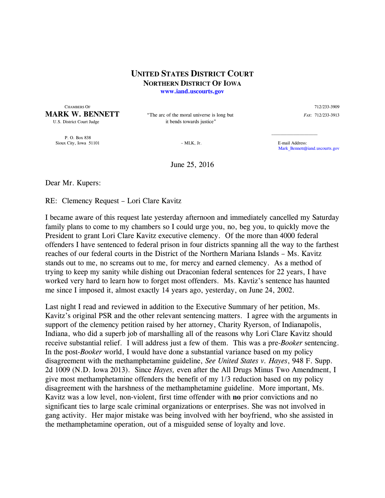## **UNITED STATES DISTRICT COURT NORTHERN DISTRICT OF IOWA www.iand.uscourts.gov**

 CHAMBERS OF 712/233-3909 **MARK W. BENNETT** "The arc of the moral universe is long but *FAX*: 712/233-3913

U.S. District Court Judge it bends towards justice"

 P. O. Box 838 Sioux City, Iowa 51101 – MLK, Jr. E-mail Address:

Mark\_Bennett@iand.uscourts.gov

June 25, 2016

Dear Mr. Kupers:

RE: Clemency Request – Lori Clare Kavitz

I became aware of this request late yesterday afternoon and immediately cancelled my Saturday family plans to come to my chambers so I could urge you, no, beg you, to quickly move the President to grant Lori Clare Kavitz executive clemency. Of the more than 4000 federal offenders I have sentenced to federal prison in four districts spanning all the way to the farthest reaches of our federal courts in the District of the Northern Mariana Islands – Ms. Kavitz stands out to me, no screams out to me, for mercy and earned clemency. As a method of trying to keep my sanity while dishing out Draconian federal sentences for 22 years, I have worked very hard to learn how to forget most offenders. Ms. Kavtiz's sentence has haunted me since I imposed it, almost exactly 14 years ago, yesterday, on June 24, 2002.

Last night I read and reviewed in addition to the Executive Summary of her petition, Ms. Kavitz's original PSR and the other relevant sentencing matters. I agree with the arguments in support of the clemency petition raised by her attorney, Charity Ryerson, of Indianapolis, Indiana, who did a superb job of marshalling all of the reasons why Lori Clare Kavitz should receive substantial relief. I will address just a few of them. This was a pre-*Booker* sentencing. In the post-*Booker* world, I would have done a substantial variance based on my policy disagreement with the methamphetamine guideline, *See United States v. Hayes*, 948 F. Supp. 2d 1009 (N.D. Iowa 2013). Since *Hayes,* even after the All Drugs Minus Two Amendment, I give most methamphetamine offenders the benefit of my 1/3 reduction based on my policy disagreement with the harshness of the methamphetamine guideline. More important, Ms. Kavitz was a low level, non-violent, first time offender with **no** prior convictions and no significant ties to large scale criminal organizations or enterprises. She was not involved in gang activity. Her major mistake was being involved with her boyfriend, who she assisted in the methamphetamine operation, out of a misguided sense of loyalty and love.